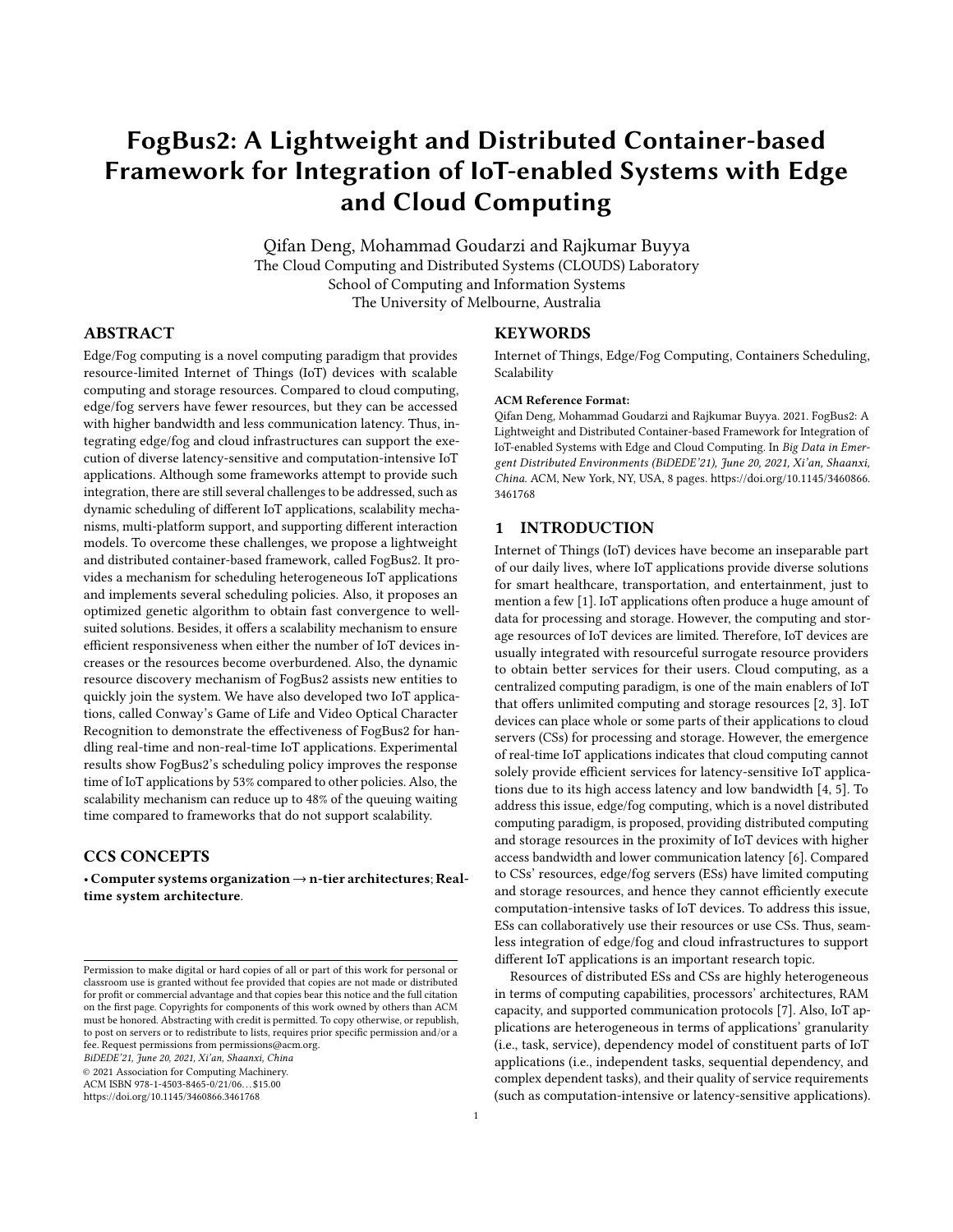# FogBus2: A Lightweight and Distributed Container-based Framework for Integration of IoT-enabled Systems with Edge and Cloud Computing

Qifan Deng, Mohammad Goudarzi and Rajkumar Buyya The Cloud Computing and Distributed Systems (CLOUDS) Laboratory School of Computing and Information Systems The University of Melbourne, Australia

# ABSTRACT

Edge/Fog computing is a novel computing paradigm that provides resource-limited Internet of Things (IoT) devices with scalable computing and storage resources. Compared to cloud computing, edge/fog servers have fewer resources, but they can be accessed with higher bandwidth and less communication latency. Thus, integrating edge/fog and cloud infrastructures can support the execution of diverse latency-sensitive and computation-intensive IoT applications. Although some frameworks attempt to provide such integration, there are still several challenges to be addressed, such as dynamic scheduling of different IoT applications, scalability mechanisms, multi-platform support, and supporting different interaction models. To overcome these challenges, we propose a lightweight and distributed container-based framework, called FogBus2. It provides a mechanism for scheduling heterogeneous IoT applications and implements several scheduling policies. Also, it proposes an optimized genetic algorithm to obtain fast convergence to wellsuited solutions. Besides, it offers a scalability mechanism to ensure efficient responsiveness when either the number of IoT devices increases or the resources become overburdened. Also, the dynamic resource discovery mechanism of FogBus2 assists new entities to quickly join the system. We have also developed two IoT applications, called Conway's Game of Life and Video Optical Character Recognition to demonstrate the effectiveness of FogBus2 for handling real-time and non-real-time IoT applications. Experimental results show FogBus2's scheduling policy improves the response time of IoT applications by 53% compared to other policies. Also, the scalability mechanism can reduce up to 48% of the queuing waiting time compared to frameworks that do not support scalability.

# CCS CONCEPTS

• Computer systems organization  $\rightarrow$  n-tier architectures; Realtime system architecture.

BiDEDE'21, June 20, 2021, Xi'an, Shaanxi, China

© 2021 Association for Computing Machinery.

ACM ISBN 978-1-4503-8465-0/21/06. . . \$15.00

<https://doi.org/10.1145/3460866.3461768>

## **KEYWORDS**

Internet of Things, Edge/Fog Computing, Containers Scheduling, Scalability

#### ACM Reference Format:

Qifan Deng, Mohammad Goudarzi and Rajkumar Buyya. 2021. FogBus2: A Lightweight and Distributed Container-based Framework for Integration of IoT-enabled Systems with Edge and Cloud Computing. In Big Data in Emergent Distributed Environments (BiDEDE'21), June 20, 2021, Xi'an, Shaanxi, China. ACM, New York, NY, USA, [8](#page-7-0) pages. [https://doi.org/10.1145/3460866.](https://doi.org/10.1145/3460866.3461768) [3461768](https://doi.org/10.1145/3460866.3461768)

# 1 INTRODUCTION

Internet of Things (IoT) devices have become an inseparable part of our daily lives, where IoT applications provide diverse solutions for smart healthcare, transportation, and entertainment, just to mention a few [\[1\]](#page-7-1). IoT applications often produce a huge amount of data for processing and storage. However, the computing and storage resources of IoT devices are limited. Therefore, IoT devices are usually integrated with resourceful surrogate resource providers to obtain better services for their users. Cloud computing, as a centralized computing paradigm, is one of the main enablers of IoT that offers unlimited computing and storage resources [\[2,](#page-7-2) [3\]](#page-7-3). IoT devices can place whole or some parts of their applications to cloud servers (CSs) for processing and storage. However, the emergence of real-time IoT applications indicates that cloud computing cannot solely provide efficient services for latency-sensitive IoT applications due to its high access latency and low bandwidth [\[4,](#page-7-4) [5\]](#page-7-5). To address this issue, edge/fog computing, which is a novel distributed computing paradigm, is proposed, providing distributed computing and storage resources in the proximity of IoT devices with higher access bandwidth and lower communication latency [\[6\]](#page-7-6). Compared to CSs' resources, edge/fog servers (ESs) have limited computing and storage resources, and hence they cannot efficiently execute computation-intensive tasks of IoT devices. To address this issue, ESs can collaboratively use their resources or use CSs. Thus, seamless integration of edge/fog and cloud infrastructures to support different IoT applications is an important research topic.

Resources of distributed ESs and CSs are highly heterogeneous in terms of computing capabilities, processors' architectures, RAM capacity, and supported communication protocols [\[7\]](#page-7-7). Also, IoT applications are heterogeneous in terms of applications' granularity (i.e., task, service), dependency model of constituent parts of IoT applications (i.e., independent tasks, sequential dependency, and complex dependent tasks), and their quality of service requirements (such as computation-intensive or latency-sensitive applications).

Permission to make digital or hard copies of all or part of this work for personal or classroom use is granted without fee provided that copies are not made or distributed for profit or commercial advantage and that copies bear this notice and the full citation on the first page. Copyrights for components of this work owned by others than ACM must be honored. Abstracting with credit is permitted. To copy otherwise, or republish, to post on servers or to redistribute to lists, requires prior specific permission and/or a fee. Request permissions from permissions@acm.org.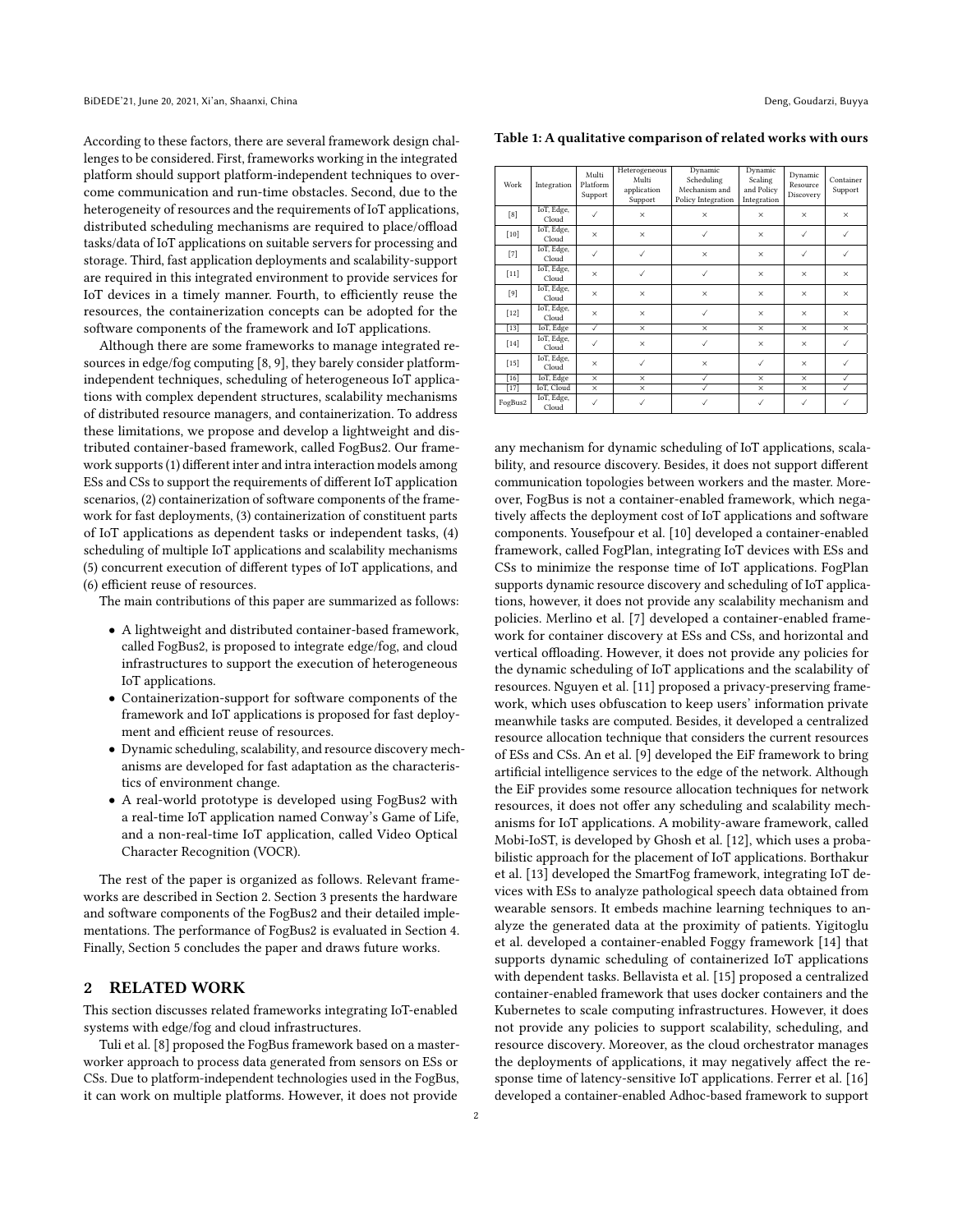According to these factors, there are several framework design challenges to be considered. First, frameworks working in the integrated platform should support platform-independent techniques to overcome communication and run-time obstacles. Second, due to the heterogeneity of resources and the requirements of IoT applications, distributed scheduling mechanisms are required to place/offload tasks/data of IoT applications on suitable servers for processing and storage. Third, fast application deployments and scalability-support are required in this integrated environment to provide services for IoT devices in a timely manner. Fourth, to efficiently reuse the resources, the containerization concepts can be adopted for the software components of the framework and IoT applications.

Although there are some frameworks to manage integrated resources in edge/fog computing [\[8,](#page-7-8) [9\]](#page-7-9), they barely consider platformindependent techniques, scheduling of heterogeneous IoT applications with complex dependent structures, scalability mechanisms of distributed resource managers, and containerization. To address these limitations, we propose and develop a lightweight and distributed container-based framework, called FogBus2. Our framework supports (1) different inter and intra interaction models among ESs and CSs to support the requirements of different IoT application scenarios, (2) containerization of software components of the framework for fast deployments, (3) containerization of constituent parts of IoT applications as dependent tasks or independent tasks, (4) scheduling of multiple IoT applications and scalability mechanisms (5) concurrent execution of different types of IoT applications, and (6) efficient reuse of resources.

The main contributions of this paper are summarized as follows:

- A lightweight and distributed container-based framework, called FogBus2, is proposed to integrate edge/fog, and cloud infrastructures to support the execution of heterogeneous IoT applications.
- Containerization-support for software components of the framework and IoT applications is proposed for fast deployment and efficient reuse of resources.
- Dynamic scheduling, scalability, and resource discovery mechanisms are developed for fast adaptation as the characteristics of environment change.
- A real-world prototype is developed using FogBus2 with a real-time IoT application named Conway's Game of Life, and a non-real-time IoT application, called Video Optical Character Recognition (VOCR).

The rest of the paper is organized as follows. Relevant frameworks are described in Section [2.](#page-1-0) Section [3](#page-2-0) presents the hardware and software components of the FogBus2 and their detailed implementations. The performance of FogBus2 is evaluated in Section [4.](#page-5-0) Finally, Section [5](#page-7-10) concludes the paper and draws future works.

# <span id="page-1-0"></span>2 RELATED WORK

This section discusses related frameworks integrating IoT-enabled systems with edge/fog and cloud infrastructures.

Tuli et al. [\[8\]](#page-7-8) proposed the FogBus framework based on a masterworker approach to process data generated from sensors on ESs or CSs. Due to platform-independent technologies used in the FogBus, it can work on multiple platforms. However, it does not provide

<span id="page-1-1"></span>Table 1: A qualitative comparison of related works with ours

| Work    | Integration         | Multi<br>Platform<br>Support | Heterogeneous<br>Multi<br>application<br>Support | Dynamic<br>Scheduling<br>Mechanism and<br>Policy Integration | Dynamic<br>Scaling<br>and Policy<br>Integration | Dynamic<br>Resource<br>Discovery | Container<br>Support |
|---------|---------------------|------------------------------|--------------------------------------------------|--------------------------------------------------------------|-------------------------------------------------|----------------------------------|----------------------|
| [8]     | IoT, Edge,<br>Cloud | $\checkmark$                 | $\times$                                         | $\times$                                                     | $\times$                                        | $\times$                         | $\times$             |
| $[10]$  | IoT, Edge,<br>Cloud | $\times$                     | $\times$                                         | $\checkmark$                                                 | $\times$                                        | $\checkmark$                     | $\checkmark$         |
| $[7]$   | IoT, Edge,<br>Cloud | ✓                            | ✓                                                | $\times$                                                     | $\times$                                        | ✓                                | $\checkmark$         |
| $[11]$  | IoT, Edge,<br>Cloud | $\times$                     | ✓                                                | $\checkmark$                                                 | $\times$                                        | $\times$                         | $\times$             |
| [9]     | IoT, Edge,<br>Cloud | $\times$                     | $\times$                                         | $\times$                                                     | $\times$                                        | $\times$                         | $\times$             |
| $[12]$  | IoT, Edge,<br>Cloud | $\times$                     | $\times$                                         | $\checkmark$                                                 | $\times$                                        | $\times$                         | $\times$             |
| $[13]$  | IoT, Edge           | ✓                            | $\times$                                         | $\times$                                                     | $\times$                                        | $\times$                         | $\times$             |
| $[14]$  | IoT, Edge,<br>Cloud | ✓                            | ×                                                | ✓                                                            | $\times$                                        | $\times$                         | $\checkmark$         |
| $[15]$  | IoT, Edge,<br>Cloud | $\times$                     | $\checkmark$                                     | $\times$                                                     | $\checkmark$                                    | $\times$                         | ✓                    |
| $[16]$  | IoT, Edge           | $\times$                     | $\times$                                         | ✓                                                            | $\times$                                        | $\times$                         | $\checkmark$         |
| $[17]$  | IoT, Cloud          | $\times$                     | $\times$                                         | ✓                                                            | $\times$                                        | $\times$                         | ✓                    |
| FogBus2 | IoT, Edge,<br>Cloud | ✓                            | $\checkmark$                                     | $\checkmark$                                                 | $\checkmark$                                    | $\checkmark$                     | $\checkmark$         |

any mechanism for dynamic scheduling of IoT applications, scalability, and resource discovery. Besides, it does not support different communication topologies between workers and the master. Moreover, FogBus is not a container-enabled framework, which negatively affects the deployment cost of IoT applications and software components. Yousefpour et al. [\[10\]](#page-7-11) developed a container-enabled framework, called FogPlan, integrating IoT devices with ESs and CSs to minimize the response time of IoT applications. FogPlan supports dynamic resource discovery and scheduling of IoT applications, however, it does not provide any scalability mechanism and policies. Merlino et al. [\[7\]](#page-7-7) developed a container-enabled framework for container discovery at ESs and CSs, and horizontal and vertical offloading. However, it does not provide any policies for the dynamic scheduling of IoT applications and the scalability of resources. Nguyen et al. [\[11\]](#page-7-12) proposed a privacy-preserving framework, which uses obfuscation to keep users' information private meanwhile tasks are computed. Besides, it developed a centralized resource allocation technique that considers the current resources of ESs and CSs. An et al. [\[9\]](#page-7-9) developed the EiF framework to bring artificial intelligence services to the edge of the network. Although the EiF provides some resource allocation techniques for network resources, it does not offer any scheduling and scalability mechanisms for IoT applications. A mobility-aware framework, called Mobi-IoST, is developed by Ghosh et al. [\[12\]](#page-7-13), which uses a probabilistic approach for the placement of IoT applications. Borthakur et al. [\[13\]](#page-7-14) developed the SmartFog framework, integrating IoT devices with ESs to analyze pathological speech data obtained from wearable sensors. It embeds machine learning techniques to analyze the generated data at the proximity of patients. Yigitoglu et al. developed a container-enabled Foggy framework [\[14\]](#page-7-15) that supports dynamic scheduling of containerized IoT applications with dependent tasks. Bellavista et al. [\[15\]](#page-7-16) proposed a centralized container-enabled framework that uses docker containers and the Kubernetes to scale computing infrastructures. However, it does not provide any policies to support scalability, scheduling, and resource discovery. Moreover, as the cloud orchestrator manages the deployments of applications, it may negatively affect the response time of latency-sensitive IoT applications. Ferrer et al. [\[16\]](#page-7-17) developed a container-enabled Adhoc-based framework to support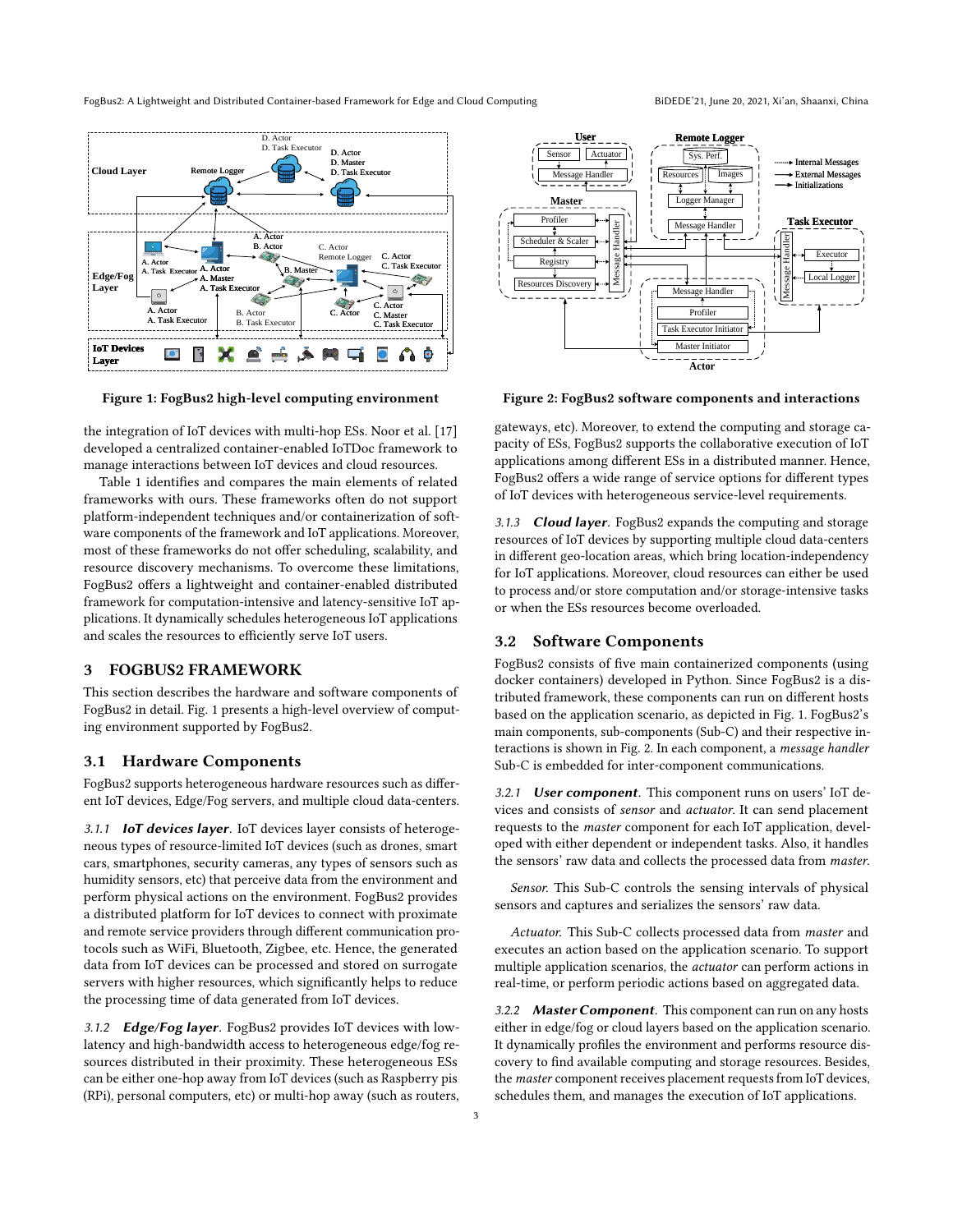FogBus2: A Lightweight and Distributed Container-based Framework for Edge and Cloud Computing BiDEDE'21, June 20, 2021, Xi'an, Shaanxi, China

<span id="page-2-1"></span>



the integration of IoT devices with multi-hop ESs. Noor et al. [\[17\]](#page-7-18) developed a centralized container-enabled IoTDoc framework to manage interactions between IoT devices and cloud resources.

Table [1](#page-1-1) identifies and compares the main elements of related frameworks with ours. These frameworks often do not support platform-independent techniques and/or containerization of software components of the framework and IoT applications. Moreover, most of these frameworks do not offer scheduling, scalability, and resource discovery mechanisms. To overcome these limitations, FogBus2 offers a lightweight and container-enabled distributed framework for computation-intensive and latency-sensitive IoT applications. It dynamically schedules heterogeneous IoT applications and scales the resources to efficiently serve IoT users.

# <span id="page-2-0"></span>3 FOGBUS2 FRAMEWORK

This section describes the hardware and software components of FogBus2 in detail. Fig. [1](#page-2-1) presents a high-level overview of computing environment supported by FogBus2.

# 3.1 Hardware Components

FogBus2 supports heterogeneous hardware resources such as different IoT devices, Edge/Fog servers, and multiple cloud data-centers.

3.1.1 IoT devices layer. IoT devices layer consists of heterogeneous types of resource-limited IoT devices (such as drones, smart cars, smartphones, security cameras, any types of sensors such as humidity sensors, etc) that perceive data from the environment and perform physical actions on the environment. FogBus2 provides a distributed platform for IoT devices to connect with proximate and remote service providers through different communication protocols such as WiFi, Bluetooth, Zigbee, etc. Hence, the generated data from IoT devices can be processed and stored on surrogate servers with higher resources, which significantly helps to reduce the processing time of data generated from IoT devices.

3.1.2 Edge/Fog layer. FogBus2 provides IoT devices with lowlatency and high-bandwidth access to heterogeneous edge/fog resources distributed in their proximity. These heterogeneous ESs can be either one-hop away from IoT devices (such as Raspberry pis (RPi), personal computers, etc) or multi-hop away (such as routers,

<span id="page-2-2"></span>

Figure 2: FogBus2 software components and interactions

gateways, etc). Moreover, to extend the computing and storage capacity of ESs, FogBus2 supports the collaborative execution of IoT applications among different ESs in a distributed manner. Hence, FogBus2 offers a wide range of service options for different types of IoT devices with heterogeneous service-level requirements.

3.1.3 **Cloud layer**. FogBus2 expands the computing and storage resources of IoT devices by supporting multiple cloud data-centers in different geo-location areas, which bring location-independency for IoT applications. Moreover, cloud resources can either be used to process and/or store computation and/or storage-intensive tasks or when the ESs resources become overloaded.

# 3.2 Software Components

FogBus2 consists of five main containerized components (using docker containers) developed in Python. Since FogBus2 is a distributed framework, these components can run on different hosts based on the application scenario, as depicted in Fig. [1.](#page-2-1) FogBus2's main components, sub-components (Sub-C) and their respective interactions is shown in Fig. [2.](#page-2-2) In each component, a message handler Sub-C is embedded for inter-component communications.

3.2.1 User component. This component runs on users' IoT devices and consists of sensor and actuator. It can send placement requests to the master component for each IoT application, developed with either dependent or independent tasks. Also, it handles the sensors' raw data and collects the processed data from master.

Sensor. This Sub-C controls the sensing intervals of physical sensors and captures and serializes the sensors' raw data.

Actuator. This Sub-C collects processed data from master and executes an action based on the application scenario. To support multiple application scenarios, the actuator can perform actions in real-time, or perform periodic actions based on aggregated data.

3.2.2 Master Component. This component can run on any hosts either in edge/fog or cloud layers based on the application scenario. It dynamically profiles the environment and performs resource discovery to find available computing and storage resources. Besides, the master component receives placement requests from IoT devices, schedules them, and manages the execution of IoT applications.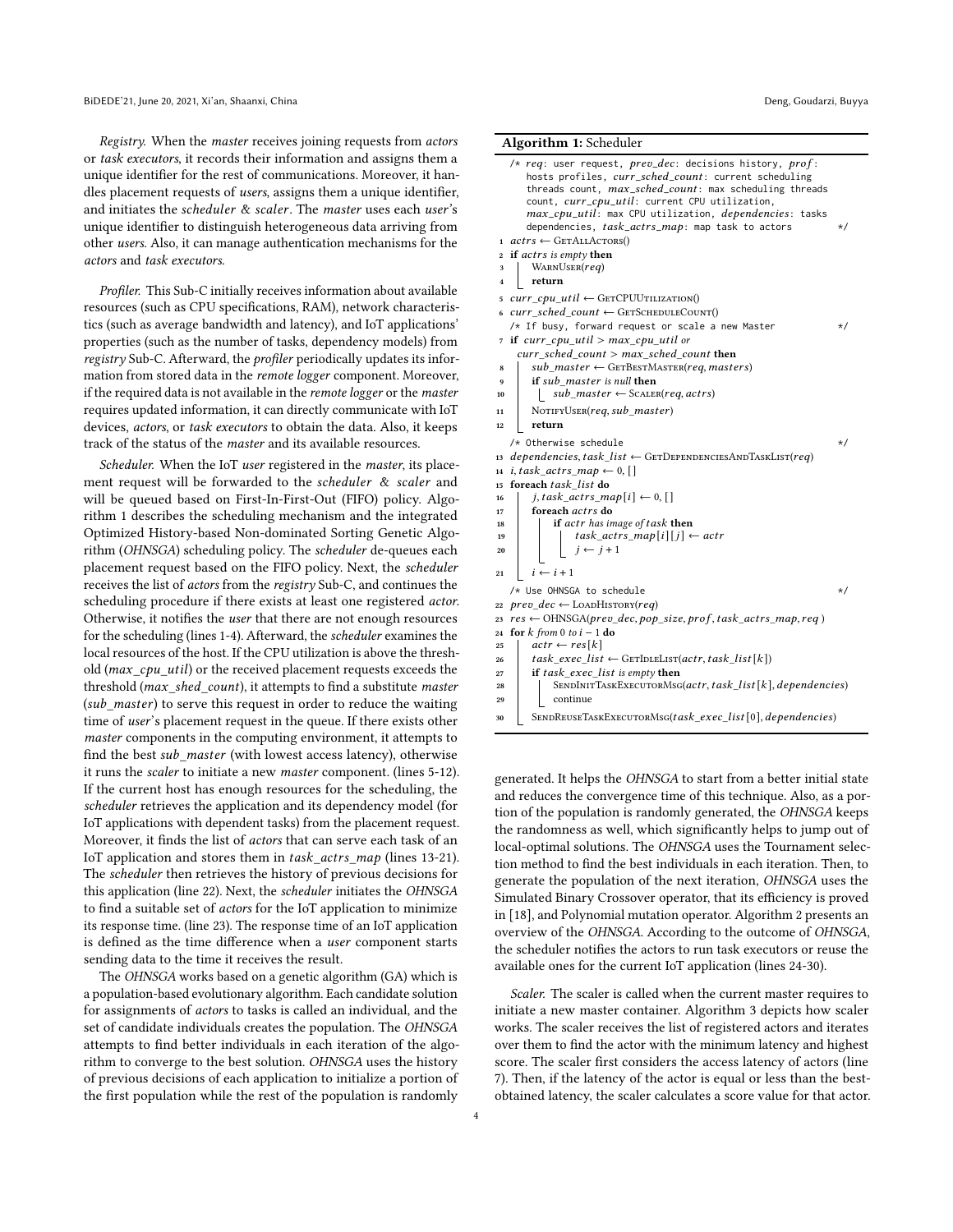Registry. When the master receives joining requests from actors or task executors, it records their information and assigns them a unique identifier for the rest of communications. Moreover, it handles placement requests of users, assigns them a unique identifier, and initiates the scheduler & scaler. The master uses each user's unique identifier to distinguish heterogeneous data arriving from other users. Also, it can manage authentication mechanisms for the actors and task executors.

Profiler. This Sub-C initially receives information about available resources (such as CPU specifications, RAM), network characteristics (such as average bandwidth and latency), and IoT applications' properties (such as the number of tasks, dependency models) from registry Sub-C. Afterward, the profiler periodically updates its information from stored data in the remote logger component. Moreover, if the required data is not available in the remote logger or the master requires updated information, it can directly communicate with IoT devices, actors, or task executors to obtain the data. Also, it keeps track of the status of the master and its available resources.

Scheduler. When the IoT user registered in the master, its placement request will be forwarded to the scheduler & scaler and will be queued based on First-In-First-Out (FIFO) policy. Algorithm [1](#page-3-0) describes the scheduling mechanism and the integrated Optimized History-based Non-dominated Sorting Genetic Algorithm (OHNSGA) scheduling policy. The scheduler de-queues each placement request based on the FIFO policy. Next, the scheduler receives the list of actors from the registry Sub-C, and continues the scheduling procedure if there exists at least one registered actor. Otherwise, it notifies the user that there are not enough resources for the scheduling (lines 1-4). Afterward, the scheduler examines the local resources of the host. If the CPU utilization is above the threshold ( $max$  cpu util) or the received placement requests exceeds the threshold ( $max\_shed\_count$ ), it attempts to find a substitute master  $(sub\_master)$  to serve this request in order to reduce the waiting time of user's placement request in the queue. If there exists other master components in the computing environment, it attempts to find the best sub master (with lowest access latency), otherwise it runs the scaler to initiate a new master component. (lines 5-12). If the current host has enough resources for the scheduling, the scheduler retrieves the application and its dependency model (for IoT applications with dependent tasks) from the placement request. Moreover, it finds the list of actors that can serve each task of an IoT application and stores them in  $task\_actors\_map$  (lines 13-21). The scheduler then retrieves the history of previous decisions for this application (line 22). Next, the scheduler initiates the OHNSGA to find a suitable set of actors for the IoT application to minimize its response time. (line 23). The response time of an IoT application is defined as the time difference when a user component starts sending data to the time it receives the result.

The OHNSGA works based on a genetic algorithm (GA) which is a population-based evolutionary algorithm. Each candidate solution for assignments of actors to tasks is called an individual, and the set of candidate individuals creates the population. The OHNSGA attempts to find better individuals in each iteration of the algorithm to converge to the best solution. OHNSGA uses the history of previous decisions of each application to initialize a portion of the first population while the rest of the population is randomly

#### Algorithm 1: Scheduler

<span id="page-3-0"></span>

|              | /* req: user request, prev_dec: decisions history, prof:<br>hosts profiles, <i>curr_sched_count</i> : current scheduling<br>threads count, max_sched_count: max scheduling threads<br>count, curr_cpu_util: current CPU utilization,<br>max_cpu_util: max CPU utilization, <i>dependencies</i> : tasks<br>dependencies, task_actrs_map: map task to actors | $\star/$ |
|--------------|------------------------------------------------------------------------------------------------------------------------------------------------------------------------------------------------------------------------------------------------------------------------------------------------------------------------------------------------------------|----------|
|              | $1 \text{ acts} \leftarrow \text{GerALLAcross}()$                                                                                                                                                                                                                                                                                                          |          |
|              | 2 if actrs is empty then                                                                                                                                                                                                                                                                                                                                   |          |
| 3            | WARNUSER(req)                                                                                                                                                                                                                                                                                                                                              |          |
| $\mathbf{A}$ | return                                                                                                                                                                                                                                                                                                                                                     |          |
| 5            | $curr\_cpu\_util \leftarrow$ GETCPUUTILIZATION()                                                                                                                                                                                                                                                                                                           |          |
|              | 6 curr sched count $\leftarrow$ GETSCHEDULECOUNT()                                                                                                                                                                                                                                                                                                         |          |
|              | /* If busy, forward request or scale a new Master                                                                                                                                                                                                                                                                                                          | $\star/$ |
|              | $\tau$ if curr cpu util > max cpu util or                                                                                                                                                                                                                                                                                                                  |          |
|              | $curr$ sched count > max sched count then                                                                                                                                                                                                                                                                                                                  |          |
| 8            | $sub\_master \leftarrow \text{GETBestMaster}(req, master)$                                                                                                                                                                                                                                                                                                 |          |
| 9            | <b>if</b> sub master is null then                                                                                                                                                                                                                                                                                                                          |          |
| 10           | $sub$ master $\leftarrow$ SCALER(req, actrs)                                                                                                                                                                                                                                                                                                               |          |
| 11           | NOTIFYUSER(req, sub master)                                                                                                                                                                                                                                                                                                                                |          |
| 12           | return                                                                                                                                                                                                                                                                                                                                                     |          |
|              | /* Otherwise schedule                                                                                                                                                                                                                                                                                                                                      | $\star/$ |
|              | $dependence, task list \leftarrow GETDEPENDENCESANDTaskLIST (req)$                                                                                                                                                                                                                                                                                         |          |
| 13           |                                                                                                                                                                                                                                                                                                                                                            |          |
| 14           | i, task actrs map $\leftarrow 0, \vert \vert$                                                                                                                                                                                                                                                                                                              |          |
| 15           | foreach task list do                                                                                                                                                                                                                                                                                                                                       |          |
| 16           | j, task actrs map $[i] \leftarrow 0, [$                                                                                                                                                                                                                                                                                                                    |          |
| 17           | foreach actrs do                                                                                                                                                                                                                                                                                                                                           |          |
| 18           | if actr has image of task then                                                                                                                                                                                                                                                                                                                             |          |
| 19           | <i>task_actrs_map</i> [ <i>i</i> ][ <i>j</i> ] ← <i>actr</i>                                                                                                                                                                                                                                                                                               |          |
| 20           | $j \leftarrow j + 1$                                                                                                                                                                                                                                                                                                                                       |          |
| 21           | $i \leftarrow i + 1$                                                                                                                                                                                                                                                                                                                                       |          |
|              | /* Use OHNSGA to schedule                                                                                                                                                                                                                                                                                                                                  | $\star/$ |
| 22           | $\textit{prev}$ dec $\leftarrow$ LOADHISTORY(req)                                                                                                                                                                                                                                                                                                          |          |
| 23           | $res \leftarrow$ OHNSGA(prev dec, pop size, prof, task actrs map, req)                                                                                                                                                                                                                                                                                     |          |
| 24           | for k from 0 to $i - 1$ do                                                                                                                                                                                                                                                                                                                                 |          |
| 25           | $actr \leftarrow res k $                                                                                                                                                                                                                                                                                                                                   |          |
| 26           | task exec list $\leftarrow$ GETIDLELIST(actr, task list[k])                                                                                                                                                                                                                                                                                                |          |
| 27           | if task exec list is empty then                                                                                                                                                                                                                                                                                                                            |          |
| 28           | SENDINITTASKEXECUTORMSG(actr, task_list[k], dependencies)                                                                                                                                                                                                                                                                                                  |          |
| 29           | continue                                                                                                                                                                                                                                                                                                                                                   |          |
|              |                                                                                                                                                                                                                                                                                                                                                            |          |
| 30           | SENDREUSETASKEXECUTORMSG(task exec list[0], dependencies)                                                                                                                                                                                                                                                                                                  |          |
|              |                                                                                                                                                                                                                                                                                                                                                            |          |

generated. It helps the OHNSGA to start from a better initial state and reduces the convergence time of this technique. Also, as a portion of the population is randomly generated, the OHNSGA keeps the randomness as well, which significantly helps to jump out of local-optimal solutions. The OHNSGA uses the Tournament selection method to find the best individuals in each iteration. Then, to generate the population of the next iteration, OHNSGA uses the Simulated Binary Crossover operator, that its efficiency is proved in [\[18\]](#page-7-19), and Polynomial mutation operator. Algorithm [2](#page-4-0) presents an overview of the OHNSGA. According to the outcome of OHNSGA, the scheduler notifies the actors to run task executors or reuse the available ones for the current IoT application (lines 24-30).

Scaler. The scaler is called when the current master requires to initiate a new master container. Algorithm [3](#page-4-1) depicts how scaler works. The scaler receives the list of registered actors and iterates over them to find the actor with the minimum latency and highest score. The scaler first considers the access latency of actors (line 7). Then, if the latency of the actor is equal or less than the bestobtained latency, the scaler calculates a score value for that actor.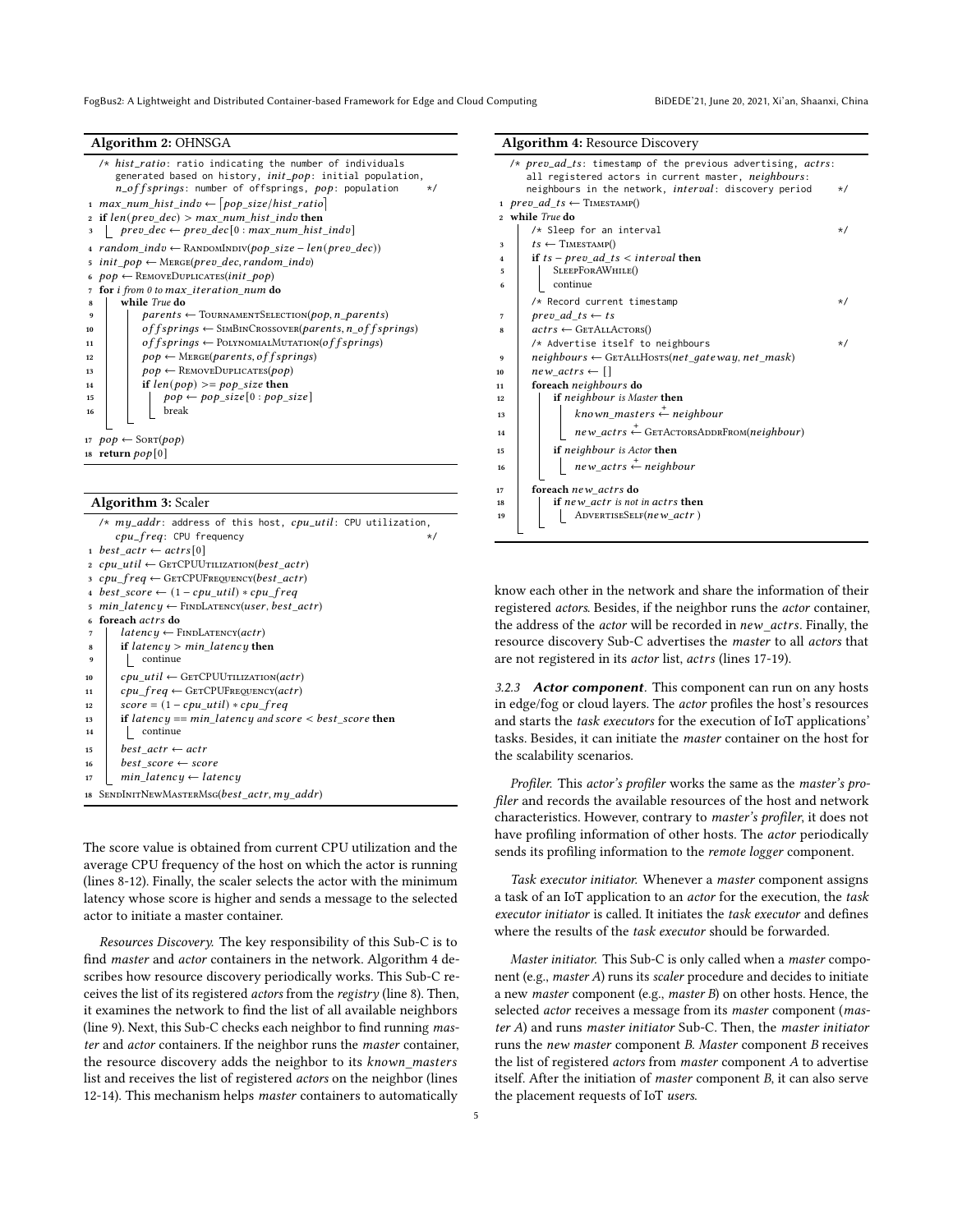FogBus2: A Lightweight and Distributed Container-based Framework for Edge and Cloud Computing BiDEDE'21, June 20, 2021, Xi'an, Shaanxi, China

#### Algorithm 2: OHNSGA

<span id="page-4-0"></span>

|                | $/*$ hist_ratio: ratio indicating the number of individuals<br>generated based on history, <i>init_pop</i> : initial population,<br>$n_{\text{u}}$ of fsprings: number of offsprings, pop: population<br>$\star/$ |
|----------------|-------------------------------------------------------------------------------------------------------------------------------------------------------------------------------------------------------------------|
|                | $\frac{1}{1}$ max_num_hist_indv $\leftarrow$ [pop_size/hist_ratio]                                                                                                                                                |
|                | 2 if $len(prev dec) > max num hist indv$ then                                                                                                                                                                     |
| 3              | $\lvert$ prev_dec $\leftarrow$ prev_dec $[0:$ max_num_hist_indv]                                                                                                                                                  |
|                | $\Delta$ random indv $\leftarrow$ RANDOMINDIV(pop size – len(prev dec))                                                                                                                                           |
|                | $\sigma$ init pop $\leftarrow$ MERGE(prev dec, random indv)                                                                                                                                                       |
|                | $6 \text{ } pop \leftarrow$ REMOVEDUPLICATES(init pop)                                                                                                                                                            |
| $\overline{7}$ | for <i>i</i> from 0 to max iteration num do                                                                                                                                                                       |
| 8              | while True do                                                                                                                                                                                                     |
| 9              | $parents \leftarrow \text{TourNAMENTSELECTION}(pop, n \text{ parents})$                                                                                                                                           |
| 10             | of f springs $\leftarrow$ SIMBINCROSSOVER(parents, n_of f springs)                                                                                                                                                |
| 11             | of f springs $\leftarrow$ POLYNOMIALMUTATION(of f springs)                                                                                                                                                        |
| 12             | $pop \leftarrow \text{Mence}(parents, of fsprings)$                                                                                                                                                               |
| 13             | $pop \leftarrow$ REMOVEDUPLICATES( $pop$ )                                                                                                                                                                        |
| 14             | if $len(pop) >= pop size$ then                                                                                                                                                                                    |
| 15             | $pop \leftarrow pop\_size[0 : pop\_size]$                                                                                                                                                                         |
| 16             | break                                                                                                                                                                                                             |
|                |                                                                                                                                                                                                                   |
|                | 17 $pop \leftarrow \text{Sort}(pop)$                                                                                                                                                                              |
|                | 18 return $pop[0]$                                                                                                                                                                                                |
|                |                                                                                                                                                                                                                   |

#### Algorithm 3: Scaler

<span id="page-4-1"></span>

|    | $/* my\_addr:$ address of this host, $cpu\_util:$ CPU utilization, |
|----|--------------------------------------------------------------------|
|    | cpu_freq: CPU frequency<br>$\star/$                                |
|    | 1 best $actr \leftarrow actrs[0]$                                  |
|    | 2 cpu util $\leftarrow$ GETCPUUTILIZATION(best actr)               |
|    | $3$ cpu freq $\leftarrow$ GETCPUFREQUENCY(best actr)               |
|    | $\Delta$ best score $\leftarrow$ (1 – cpu util) $*$ cpu freq       |
| 5  | min latency $\leftarrow$ FINDLATENCY(user, best_actr)              |
|    | foreach <i>actrs</i> do                                            |
|    | $latency \leftarrow$ FINDLATENCY(actr)                             |
| 8  | if latency $> min$ latency then                                    |
| 9  | continue                                                           |
| 10 | $cpu\_util \leftarrow$ GETCPUUTILIZATION( <i>actr</i> )            |
| 11 | $cpu$ freq $\leftarrow$ GETCPUFREQUENCY(actr)                      |
| 12 | $score = (1 - cpu \text{ util}) * cpu \text{ freq}$                |
| 13 | if latency == min latency and score $\lt$ best score then          |
| 14 | continue                                                           |
| 15 | best $actr \leftarrow actr$                                        |
| 16 | $best\ score \leftarrow score$                                     |
| 17 | min latency $\leftarrow$ latency                                   |
| 18 | SENDINITNEWMASTERMSG(best actr, my addr)                           |

The score value is obtained from current CPU utilization and the average CPU frequency of the host on which the actor is running (lines 8-12). Finally, the scaler selects the actor with the minimum latency whose score is higher and sends a message to the selected actor to initiate a master container.

Resources Discovery. The key responsibility of this Sub-C is to find master and actor containers in the network. Algorithm [4](#page-4-2) describes how resource discovery periodically works. This Sub-C receives the list of its registered actors from the registry (line 8). Then, it examines the network to find the list of all available neighbors (line 9). Next, this Sub-C checks each neighbor to find running master and actor containers. If the neighbor runs the master container, the resource discovery adds the neighbor to its known\_masters list and receives the list of registered actors on the neighbor (lines 12-14). This mechanism helps master containers to automatically

<span id="page-4-2"></span>

|                         | /* $prev\_ad\_ts$ : timestamp of the previous advertising, $actors$ :     |
|-------------------------|---------------------------------------------------------------------------|
|                         | all registered actors in current master, neighbours:                      |
|                         | neighbours in the network, <i>interval</i> : discovery period<br>$\star/$ |
|                         | 1 prev ad ts $\leftarrow$ TIMESTAMP()                                     |
|                         | 2 while True do                                                           |
|                         | /* Sleep for an interval<br>$\star/$                                      |
| 3                       | $ts \leftarrow$ TIMESTAMP()                                               |
| $\overline{\mathbf{4}}$ | if $ts - prev$ ad $ts < interval$ then                                    |
| 5                       | SLEEPFORAWHILE()                                                          |
| 6                       | continue                                                                  |
|                         | /* Record current timestamp<br>$\star/$                                   |
| 7                       | prev ad ts $\leftarrow$ ts                                                |
| 8                       | $actors \leftarrow \text{GETALLACTORS}()$                                 |
|                         | /* Advertise itself to neighbours<br>$\star/$                             |
| 9                       | $neighbours \leftarrow \text{GETALLHOST}(net\_gateway, net\_mask)$        |
| 10                      | new actrs $\leftarrow$ []                                                 |
| 11                      | foreach neighbours do                                                     |
| 12                      | if neighbour is Master then                                               |
| 13                      | known_masters $\stackrel{+}{\leftarrow}$ neighbour                        |
| 14                      | $new\_actors \xleftarrow{+} \text{GETACTORSADDRFROM}(neighbor)$           |
| 15                      | if neighbour is Actor then                                                |
| 16                      | $new\_actors \stackrel{+}{\leftarrow} neighbor$                           |
| 17                      | foreach new actrs do                                                      |
| 18                      | if new actr is not in actrs then                                          |
| 19                      | ADVERTISESELF(new_actr)                                                   |
|                         |                                                                           |

know each other in the network and share the information of their registered actors. Besides, if the neighbor runs the actor container, the address of the *actor* will be recorded in new\_actrs. Finally, the resource discovery Sub-C advertises the master to all actors that are not registered in its actor list, actrs (lines 17-19).

3.2.3 Actor component. This component can run on any hosts in edge/fog or cloud layers. The actor profiles the host's resources and starts the task executors for the execution of IoT applications' tasks. Besides, it can initiate the master container on the host for the scalability scenarios.

Profiler. This actor's profiler works the same as the master's profiler and records the available resources of the host and network characteristics. However, contrary to master's profiler, it does not have profiling information of other hosts. The actor periodically sends its profiling information to the remote logger component.

Task executor initiator. Whenever a master component assigns a task of an IoT application to an actor for the execution, the task executor initiator is called. It initiates the task executor and defines where the results of the task executor should be forwarded.

Master initiator. This Sub-C is only called when a master component (e.g., master A) runs its scaler procedure and decides to initiate a new master component (e.g., master B) on other hosts. Hence, the selected actor receives a message from its master component (master A) and runs master initiator Sub-C. Then, the master initiator runs the new master component B. Master component B receives the list of registered actors from master component A to advertise itself. After the initiation of master component B, it can also serve the placement requests of IoT users.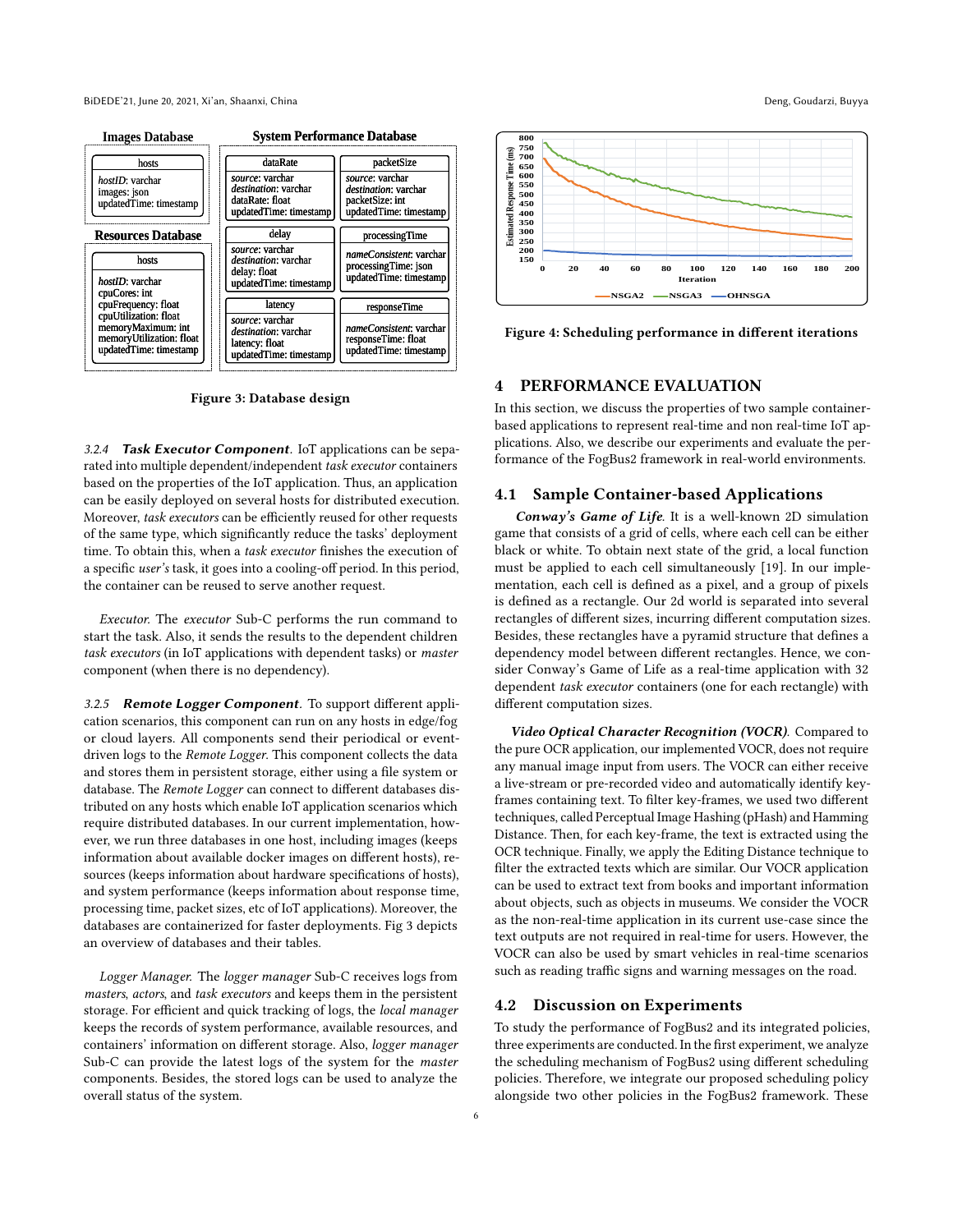<span id="page-5-1"></span>

Figure 3: Database design

3.2.4 Task Executor Component. IoT applications can be separated into multiple dependent/independent task executor containers based on the properties of the IoT application. Thus, an application can be easily deployed on several hosts for distributed execution. Moreover, task executors can be efficiently reused for other requests of the same type, which significantly reduce the tasks' deployment time. To obtain this, when a task executor finishes the execution of a specific user's task, it goes into a cooling-off period. In this period, the container can be reused to serve another request.

Executor. The executor Sub-C performs the run command to start the task. Also, it sends the results to the dependent children task executors (in IoT applications with dependent tasks) or master component (when there is no dependency).

3.2.5 Remote Logger Component. To support different application scenarios, this component can run on any hosts in edge/fog or cloud layers. All components send their periodical or eventdriven logs to the Remote Logger. This component collects the data and stores them in persistent storage, either using a file system or database. The Remote Logger can connect to different databases distributed on any hosts which enable IoT application scenarios which require distributed databases. In our current implementation, however, we run three databases in one host, including images (keeps information about available docker images on different hosts), resources (keeps information about hardware specifications of hosts), and system performance (keeps information about response time, processing time, packet sizes, etc of IoT applications). Moreover, the databases are containerized for faster deployments. Fig [3](#page-5-1) depicts an overview of databases and their tables.

Logger Manager. The logger manager Sub-C receives logs from masters, actors, and task executors and keeps them in the persistent storage. For efficient and quick tracking of logs, the local manager keeps the records of system performance, available resources, and containers' information on different storage. Also, logger manager Sub-C can provide the latest logs of the system for the master components. Besides, the stored logs can be used to analyze the overall status of the system.

<span id="page-5-2"></span>

Figure 4: Scheduling performance in different iterations

# <span id="page-5-0"></span>4 PERFORMANCE EVALUATION

In this section, we discuss the properties of two sample containerbased applications to represent real-time and non real-time IoT applications. Also, we describe our experiments and evaluate the performance of the FogBus2 framework in real-world environments.

# 4.1 Sample Container-based Applications

Conway's Game of Life. It is a well-known 2D simulation game that consists of a grid of cells, where each cell can be either black or white. To obtain next state of the grid, a local function must be applied to each cell simultaneously [\[19\]](#page-7-20). In our implementation, each cell is defined as a pixel, and a group of pixels is defined as a rectangle. Our 2d world is separated into several rectangles of different sizes, incurring different computation sizes. Besides, these rectangles have a pyramid structure that defines a dependency model between different rectangles. Hence, we consider Conway's Game of Life as a real-time application with 32 dependent task executor containers (one for each rectangle) with different computation sizes.

Video Optical Character Recognition (VOCR). Compared to the pure OCR application, our implemented VOCR, does not require any manual image input from users. The VOCR can either receive a live-stream or pre-recorded video and automatically identify keyframes containing text. To filter key-frames, we used two different techniques, called Perceptual Image Hashing (pHash) and Hamming Distance. Then, for each key-frame, the text is extracted using the OCR technique. Finally, we apply the Editing Distance technique to filter the extracted texts which are similar. Our VOCR application can be used to extract text from books and important information about objects, such as objects in museums. We consider the VOCR as the non-real-time application in its current use-case since the text outputs are not required in real-time for users. However, the VOCR can also be used by smart vehicles in real-time scenarios such as reading traffic signs and warning messages on the road.

#### 4.2 Discussion on Experiments

To study the performance of FogBus2 and its integrated policies, three experiments are conducted. In the first experiment, we analyze the scheduling mechanism of FogBus2 using different scheduling policies. Therefore, we integrate our proposed scheduling policy alongside two other policies in the FogBus2 framework. These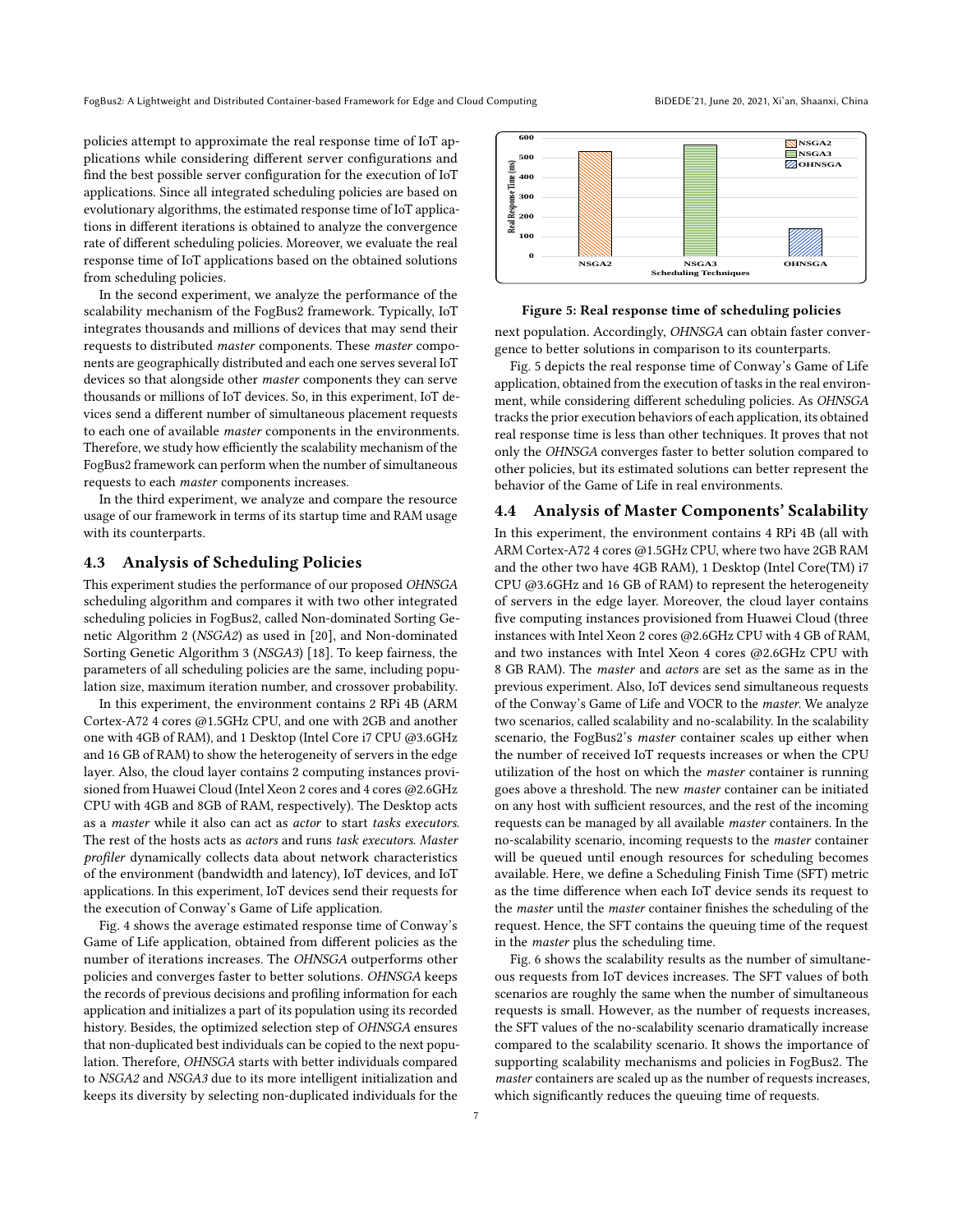policies attempt to approximate the real response time of IoT applications while considering different server configurations and find the best possible server configuration for the execution of IoT applications. Since all integrated scheduling policies are based on evolutionary algorithms, the estimated response time of IoT applications in different iterations is obtained to analyze the convergence rate of different scheduling policies. Moreover, we evaluate the real response time of IoT applications based on the obtained solutions from scheduling policies.

In the second experiment, we analyze the performance of the scalability mechanism of the FogBus2 framework. Typically, IoT integrates thousands and millions of devices that may send their requests to distributed master components. These master components are geographically distributed and each one serves several IoT devices so that alongside other master components they can serve thousands or millions of IoT devices. So, in this experiment, IoT devices send a different number of simultaneous placement requests to each one of available master components in the environments. Therefore, we study how efficiently the scalability mechanism of the FogBus2 framework can perform when the number of simultaneous requests to each master components increases.

In the third experiment, we analyze and compare the resource usage of our framework in terms of its startup time and RAM usage with its counterparts.

# 4.3 Analysis of Scheduling Policies

This experiment studies the performance of our proposed OHNSGA scheduling algorithm and compares it with two other integrated scheduling policies in FogBus2, called Non-dominated Sorting Genetic Algorithm 2 (NSGA2) as used in [\[20\]](#page-7-21), and Non-dominated Sorting Genetic Algorithm 3 (NSGA3) [\[18\]](#page-7-19). To keep fairness, the parameters of all scheduling policies are the same, including population size, maximum iteration number, and crossover probability.

In this experiment, the environment contains 2 RPi 4B (ARM Cortex-A72 4 cores @1.5GHz CPU, and one with 2GB and another one with 4GB of RAM), and 1 Desktop (Intel Core i7 CPU @3.6GHz and 16 GB of RAM) to show the heterogeneity of servers in the edge layer. Also, the cloud layer contains 2 computing instances provisioned from Huawei Cloud (Intel Xeon 2 cores and 4 cores @2.6GHz CPU with 4GB and 8GB of RAM, respectively). The Desktop acts as a master while it also can act as actor to start tasks executors. The rest of the hosts acts as actors and runs task executors. Master profiler dynamically collects data about network characteristics of the environment (bandwidth and latency), IoT devices, and IoT applications. In this experiment, IoT devices send their requests for the execution of Conway's Game of Life application.

Fig. [4](#page-5-2) shows the average estimated response time of Conway's Game of Life application, obtained from different policies as the number of iterations increases. The OHNSGA outperforms other policies and converges faster to better solutions. OHNSGA keeps the records of previous decisions and profiling information for each application and initializes a part of its population using its recorded history. Besides, the optimized selection step of OHNSGA ensures that non-duplicated best individuals can be copied to the next population. Therefore, OHNSGA starts with better individuals compared to NSGA2 and NSGA3 due to its more intelligent initialization and keeps its diversity by selecting non-duplicated individuals for the

<span id="page-6-0"></span>

# Figure 5: Real response time of scheduling policies

next population. Accordingly, OHNSGA can obtain faster convergence to better solutions in comparison to its counterparts.

Fig. [5](#page-6-0) depicts the real response time of Conway's Game of Life application, obtained from the execution of tasks in the real environment, while considering different scheduling policies. As OHNSGA tracks the prior execution behaviors of each application, its obtained real response time is less than other techniques. It proves that not only the OHNSGA converges faster to better solution compared to other policies, but its estimated solutions can better represent the behavior of the Game of Life in real environments.

# 4.4 Analysis of Master Components' Scalability

In this experiment, the environment contains 4 RPi 4B (all with ARM Cortex-A72 4 cores @1.5GHz CPU, where two have 2GB RAM and the other two have 4GB RAM), 1 Desktop (Intel Core(TM) i7 CPU @3.6GHz and 16 GB of RAM) to represent the heterogeneity of servers in the edge layer. Moreover, the cloud layer contains five computing instances provisioned from Huawei Cloud (three instances with Intel Xeon 2 cores @2.6GHz CPU with 4 GB of RAM, and two instances with Intel Xeon 4 cores @2.6GHz CPU with 8 GB RAM). The master and actors are set as the same as in the previous experiment. Also, IoT devices send simultaneous requests of the Conway's Game of Life and VOCR to the master. We analyze two scenarios, called scalability and no-scalability. In the scalability scenario, the FogBus2's master container scales up either when the number of received IoT requests increases or when the CPU utilization of the host on which the master container is running goes above a threshold. The new master container can be initiated on any host with sufficient resources, and the rest of the incoming requests can be managed by all available master containers. In the no-scalability scenario, incoming requests to the master container will be queued until enough resources for scheduling becomes available. Here, we define a Scheduling Finish Time (SFT) metric as the time difference when each IoT device sends its request to the master until the master container finishes the scheduling of the request. Hence, the SFT contains the queuing time of the request in the master plus the scheduling time.

Fig. [6](#page-7-22) shows the scalability results as the number of simultaneous requests from IoT devices increases. The SFT values of both scenarios are roughly the same when the number of simultaneous requests is small. However, as the number of requests increases, the SFT values of the no-scalability scenario dramatically increase compared to the scalability scenario. It shows the importance of supporting scalability mechanisms and policies in FogBus2. The master containers are scaled up as the number of requests increases, which significantly reduces the queuing time of requests.